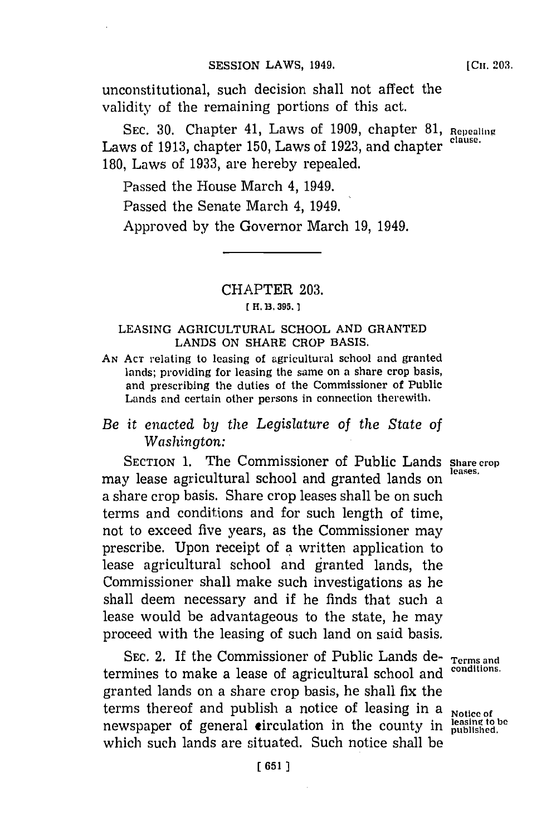### **SESSION LAWS, 1949.**

unconstitutional, such decision shall not affect the validity of the remaining portions of this act.

**SEC. 30.** Chapter 41, Laws of **1909,** chapter **81, Repealinge** Laws of **1913,** chapter **150,** Laws of **1923,** and chapter **clause. 180,** Laws of **1933,** are hereby repealed.

Passed the House March 4, 1949.

Passed the Senate March 4, 1949.

Approved **by** the Governor March **19,** 1949.

# CHAPTER **203.**

## **[ H. B. 395.1**

### **LEASING AGRICULTURAL SCHOOL AND GRANTED LANDS ON SHARE CROP BASIS.**

**AN ACT** relating to leasing of agricultural school and granted lands; providing for leasing the same on a share crop basis, and prescribing the duties of the Commissioner of Public Lands and certain other persons in connection therewith.

# *Be* it *enacted by the Legislature of the State of Washington:*

**SECTION 1.** The Commissioner of Public Lands **Share crop** may lease agricultural school and granted lands on a share crop basis. Share crop leases shall be on such terms and conditions and for such length of time, not to exceed five years, as the Commissioner may prescribe. Upon receipt of **a** written application to lease agricultural school and granted lands, the Commissioner shall make such investigations as he shall deem necessary and if he finds that such a lease would be advantageous to the state, he may proceed with the leasing of such land on said basis.

SEC. 2. If the Commissioner of Public Lands de- **Terms** and termines to make a lease of agricultural school and granted lands on a share crop basis, he shall fix the terms thereof and publish a notice of leasing in a **Notice of** newspaper of general circulation in the county in  $\frac{\text{least in the table}}{\text{published}}$ which such lands are situated. Such notice shall be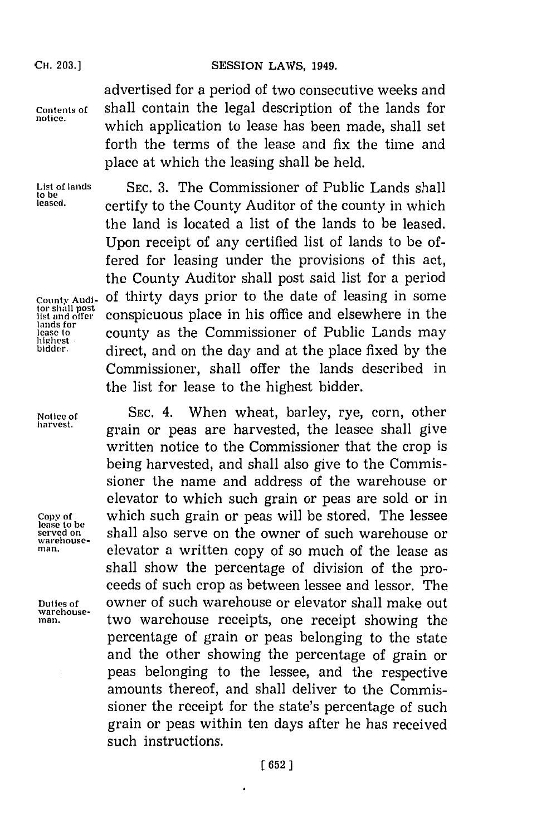### SESSION LAWS, 1949.

**CH. 203.)**

advertised for a period of two consecutive weeks and **Contents of** shall contain the legal description of the lands for **notice,** which application to lease has been made, shall set forth the terms of the lease and fix the time and place at which the leasing shall be held.

lands for<br>lease to

**lease to be Warehouse-**

**warehouse-**

**List of lands SEC. 3.** The Commissioner of Public Lands shall leased. **certify to the County Auditor of the county in which** the land is located a list of the lands to be leased. Upon receipt of any certified list of lands to be offered for leasing under the provisions of this act, the County Auditor shall post said list for a period County Audi- of thirty days prior to the date of leasing in some<br>tor shall post<br>list and offer conspicuous place in his office and elsewhere in the conspicuous place in his office and elsewhere in the lease to **county as the Commissioner of Public Lands may** lease to **county** as the Commissioner of Public Lands may blighest **bidder.** direct, and on the day and at the place fixed **by** the Commissioner, shall offer the lands described in the list for lease to the highest bidder.

**Notice of SEC.** 4. When wheat, barley, rye, corn, other **harvest,** grain or peas are harvested, the leasee shall give written notice to the Commissioner that the crop is being harvested, and shall also give to the Commissioner the name and address of the warehouse or elevator to which such grain or peas are sold or in **Copy of** which such grain or peas will be stored. The lessee shall also serve on the owner of such warehouse or **man,** elevator a written copy of so much of the lease as shall show the percentage of division of the proceeds of such crop as between lessee and lessor. The **Duties of** owner of such warehouse or elevator shall make out **man,** two warehouse receipts, one receipt showing the percentage of grain or peas belonging to the state and the other showing the percentage of grain or peas belonging to the lessee, and the respective amounts thereof, and shall deliver to the Commissioner the receipt for the state's percentage of such grain or peas within ten days after he has received such instructions.